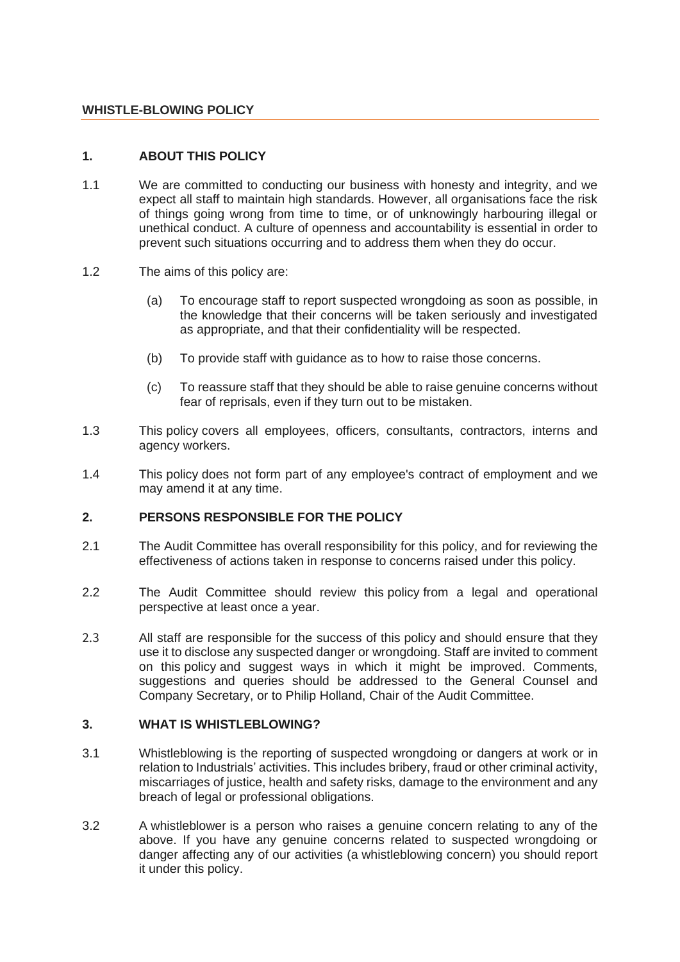#### **WHISTLE-BLOWING POLICY**

### **1. ABOUT THIS POLICY**

- 1.1 We are committed to conducting our business with honesty and integrity, and we expect all staff to maintain high standards. However, all organisations face the risk of things going wrong from time to time, or of unknowingly harbouring illegal or unethical conduct. A culture of openness and accountability is essential in order to prevent such situations occurring and to address them when they do occur.
- 1.2 The aims of this policy are:
	- (a) To encourage staff to report suspected wrongdoing as soon as possible, in the knowledge that their concerns will be taken seriously and investigated as appropriate, and that their confidentiality will be respected.
	- (b) To provide staff with guidance as to how to raise those concerns.
	- (c) To reassure staff that they should be able to raise genuine concerns without fear of reprisals, even if they turn out to be mistaken.
- 1.3 This policy covers all employees, officers, consultants, contractors, interns and agency workers.
- 1.4 This policy does not form part of any employee's contract of employment and we may amend it at any time.

#### **2. PERSONS RESPONSIBLE FOR THE POLICY**

- 2.1 The Audit Committee has overall responsibility for this policy, and for reviewing the effectiveness of actions taken in response to concerns raised under this policy.
- 2.2 The Audit Committee should review this policy from a legal and operational perspective at least once a year.
- 2.3 All staff are responsible for the success of this policy and should ensure that they use it to disclose any suspected danger or wrongdoing. Staff are invited to comment on this policy and suggest ways in which it might be improved. Comments, suggestions and queries should be addressed to the General Counsel and Company Secretary, or to Philip Holland, Chair of the Audit Committee.

#### **3. WHAT IS WHISTLEBLOWING?**

- 3.1 Whistleblowing is the reporting of suspected wrongdoing or dangers at work or in relation to Industrials' activities. This includes bribery, fraud or other criminal activity, miscarriages of justice, health and safety risks, damage to the environment and any breach of legal or professional obligations.
- 3.2 A whistleblower is a person who raises a genuine concern relating to any of the above. If you have any genuine concerns related to suspected wrongdoing or danger affecting any of our activities (a whistleblowing concern) you should report it under this policy.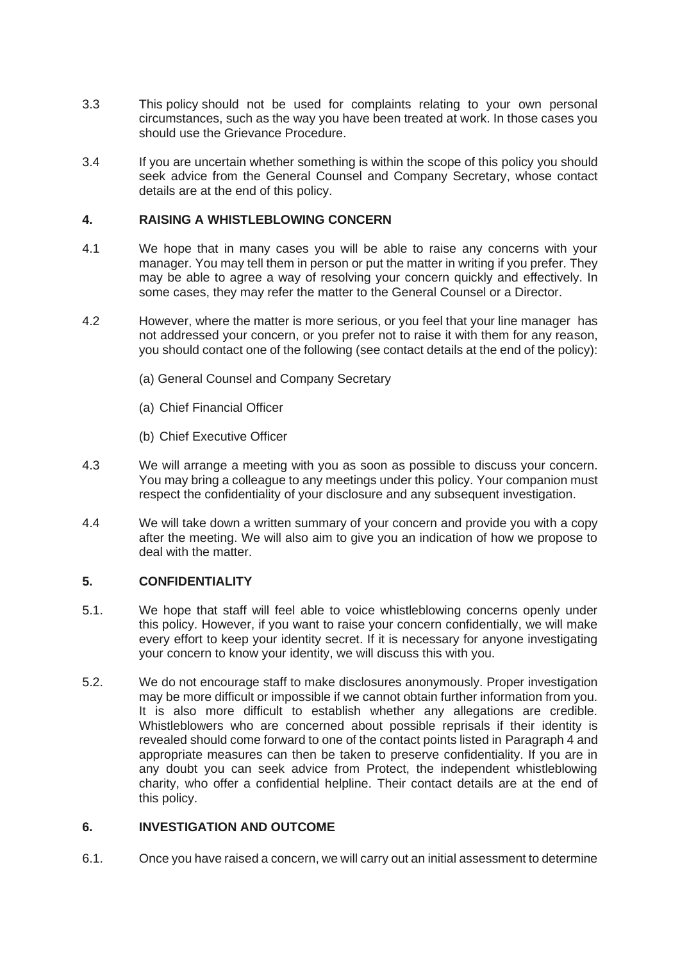- 3.3 This policy should not be used for complaints relating to your own personal circumstances, such as the way you have been treated at work. In those cases you should use the Grievance Procedure.
- 3.4 If you are uncertain whether something is within the scope of this policy you should seek advice from the General Counsel and Company Secretary, whose contact details are at the end of this policy.

### **4. RAISING A WHISTLEBLOWING CONCERN**

- 4.1 We hope that in many cases you will be able to raise any concerns with your manager. You may tell them in person or put the matter in writing if you prefer. They may be able to agree a way of resolving your concern quickly and effectively. In some cases, they may refer the matter to the General Counsel or a Director.
- 4.2 However, where the matter is more serious, or you feel that your line manager has not addressed your concern, or you prefer not to raise it with them for any reason, you should contact one of the following (see contact details at the end of the policy):
	- (a) General Counsel and Company Secretary
	- (a) Chief Financial Officer
	- (b) Chief Executive Officer
- 4.3 We will arrange a meeting with you as soon as possible to discuss your concern. You may bring a colleague to any meetings under this policy. Your companion must respect the confidentiality of your disclosure and any subsequent investigation.
- 4.4 We will take down a written summary of your concern and provide you with a copy after the meeting. We will also aim to give you an indication of how we propose to deal with the matter.

### **5. CONFIDENTIALITY**

- 5.1. We hope that staff will feel able to voice whistleblowing concerns openly under this policy. However, if you want to raise your concern confidentially, we will make every effort to keep your identity secret. If it is necessary for anyone investigating your concern to know your identity, we will discuss this with you.
- 5.2. We do not encourage staff to make disclosures anonymously. Proper investigation may be more difficult or impossible if we cannot obtain further information from you. It is also more difficult to establish whether any allegations are credible. Whistleblowers who are concerned about possible reprisals if their identity is revealed should come forward to one of the contact points listed in Paragraph 4 and appropriate measures can then be taken to preserve confidentiality. If you are in any doubt you can seek advice from Protect, the independent whistleblowing charity, who offer a confidential helpline. Their contact details are at the end of this policy.

## **6. INVESTIGATION AND OUTCOME**

6.1. Once you have raised a concern, we will carry out an initial assessment to determine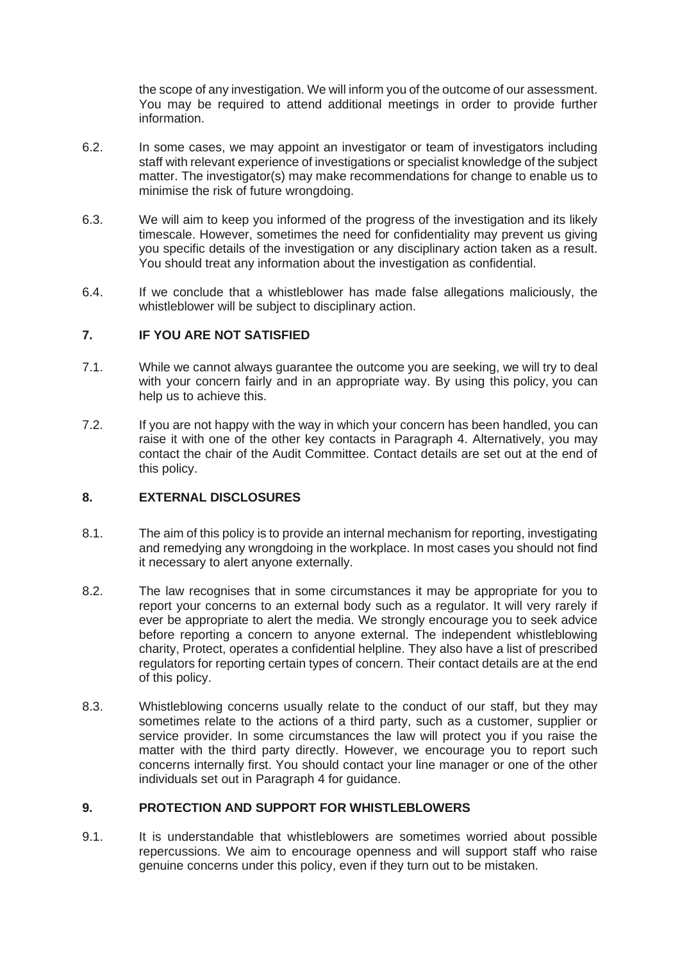the scope of any investigation. We will inform you of the outcome of our assessment. You may be required to attend additional meetings in order to provide further information.

- 6.2. In some cases, we may appoint an investigator or team of investigators including staff with relevant experience of investigations or specialist knowledge of the subject matter. The investigator(s) may make recommendations for change to enable us to minimise the risk of future wrongdoing.
- 6.3. We will aim to keep you informed of the progress of the investigation and its likely timescale. However, sometimes the need for confidentiality may prevent us giving you specific details of the investigation or any disciplinary action taken as a result. You should treat any information about the investigation as confidential.
- 6.4. If we conclude that a whistleblower has made false allegations maliciously, the whistleblower will be subject to disciplinary action.

## **7. IF YOU ARE NOT SATISFIED**

- 7.1. While we cannot always guarantee the outcome you are seeking, we will try to deal with your concern fairly and in an appropriate way. By using this policy, you can help us to achieve this.
- 7.2. If you are not happy with the way in which your concern has been handled, you can raise it with one of the other key contacts in Paragraph 4. Alternatively, you may contact the chair of the Audit Committee. Contact details are set out at the end of this policy.

## **8. EXTERNAL DISCLOSURES**

- 8.1. The aim of this policy is to provide an internal mechanism for reporting, investigating and remedying any wrongdoing in the workplace. In most cases you should not find it necessary to alert anyone externally.
- 8.2. The law recognises that in some circumstances it may be appropriate for you to report your concerns to an external body such as a regulator. It will very rarely if ever be appropriate to alert the media. We strongly encourage you to seek advice before reporting a concern to anyone external. The independent whistleblowing charity, Protect, operates a confidential helpline. They also have a list of prescribed regulators for reporting certain types of concern. Their contact details are at the end of this policy.
- 8.3. Whistleblowing concerns usually relate to the conduct of our staff, but they may sometimes relate to the actions of a third party, such as a customer, supplier or service provider. In some circumstances the law will protect you if you raise the matter with the third party directly. However, we encourage you to report such concerns internally first. You should contact your line manager or one of the other individuals set out in Paragraph 4 for guidance.

## **9. PROTECTION AND SUPPORT FOR WHISTLEBLOWERS**

9.1. It is understandable that whistleblowers are sometimes worried about possible repercussions. We aim to encourage openness and will support staff who raise genuine concerns under this policy, even if they turn out to be mistaken.